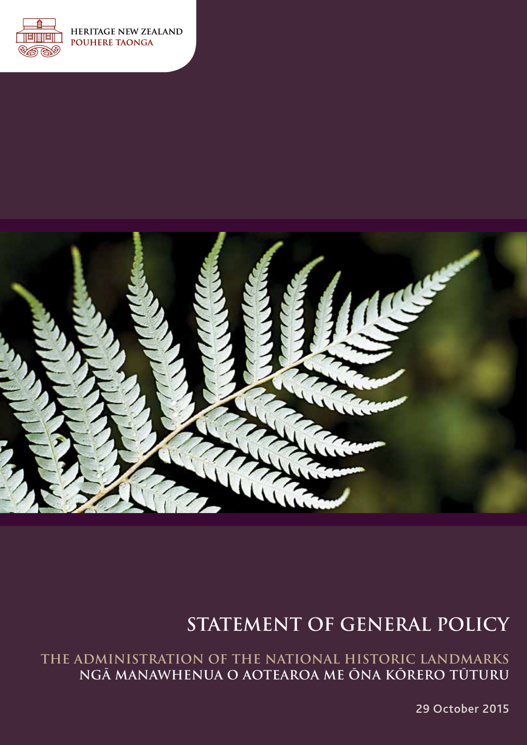

**HERITAGE NEW ZEALAND POUHERE TAONGA** 



# **STATEMENT OF GENERAL POLICY**

**THE ADMINISTRATION OF THE NATIONAL HISTORIC LANDMARKS NGĀ MANAWHENUA O AOTEAROA ME ŌNA KŌRERO TŪTURU**

29 October 2015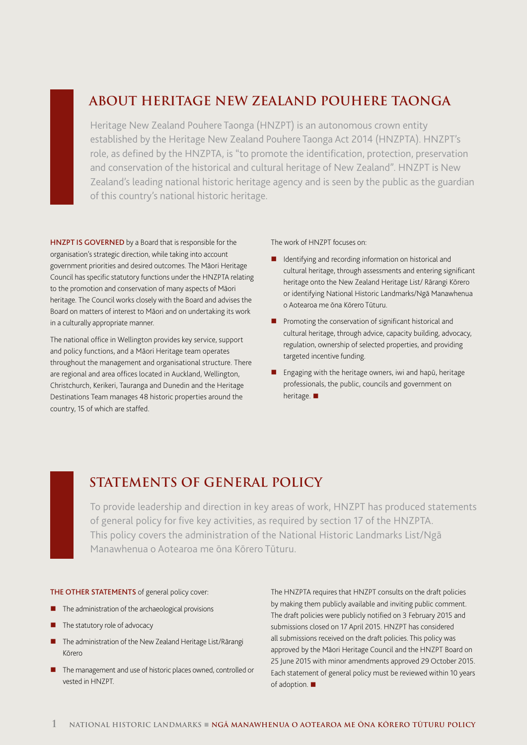## **ABOUT HERITAGE NEW ZEALAND POUHERE TAONGA**

Heritage New Zealand Pouhere Taonga (HNZPT) is an autonomous crown entity established by the Heritage New Zealand Pouhere Taonga Act 2014 (HNZPTA). HNZPT's role, as defined by the HNZPTA, is "to promote the identification, protection, preservation and conservation of the historical and cultural heritage of New Zealand". HNZPT is New Zealand's leading national historic heritage agency and is seen by the public as the guardian of this country's national historic heritage.

HNZPT IS GOVERNED by a Board that is responsible for the organisation's strategic direction, while taking into account government priorities and desired outcomes. The Māori Heritage Council has specific statutory functions under the HNZPTA relating to the promotion and conservation of many aspects of Māori heritage. The Council works closely with the Board and advises the Board on matters of interest to Māori and on undertaking its work in a culturally appropriate manner.

The national office in Wellington provides key service, support and policy functions, and a Māori Heritage team operates throughout the management and organisational structure. There are regional and area offices located in Auckland, Wellington, Christchurch, Kerikeri, Tauranga and Dunedin and the Heritage Destinations Team manages 48 historic properties around the country, 15 of which are staffed.

The work of HNZPT focuses on:

- **I** Identifying and recording information on historical and cultural heritage, through assessments and entering significant heritage onto the New Zealand Heritage List/ Rārangi Kōrero or identifying National Historic Landmarks/Ngā Manawhenua o Aotearoa me ōna Kōrero Tūturu.
- **Promoting the conservation of significant historical and** cultural heritage, through advice, capacity building, advocacy, regulation, ownership of selected properties, and providing targeted incentive funding.
- Engaging with the heritage owners, iwi and hapū, heritage professionals, the public, councils and government on heritage.  $\blacksquare$

## **STATEMENTS OF GENERAL POLICY**

To provide leadership and direction in key areas of work, HNZPT has produced statements of general policy for five key activities, as required by section 17 of the HNZPTA. This policy covers the administration of the National Historic Landmarks List/Ngā Manawhenua o Aotearoa me ōna Kōrero Tūturu.

#### THE OTHER STATEMENTS of general policy cover:

- **The administration of the archaeological provisions**
- $\blacksquare$  The statutory role of advocacy
- The administration of the New Zealand Heritage List/Rārangi Kōrero
- The management and use of historic places owned, controlled or vested in HNZPT.

The HNZPTA requires that HNZPT consults on the draft policies by making them publicly available and inviting public comment. The draft policies were publicly notified on 3 February 2015 and submissions closed on 17 April 2015. HNZPT has considered all submissions received on the draft policies. This policy was approved by the Māori Heritage Council and the HNZPT Board on 25 June 2015 with minor amendments approved 29 October 2015. Each statement of general policy must be reviewed within 10 years of adoption.  $\blacksquare$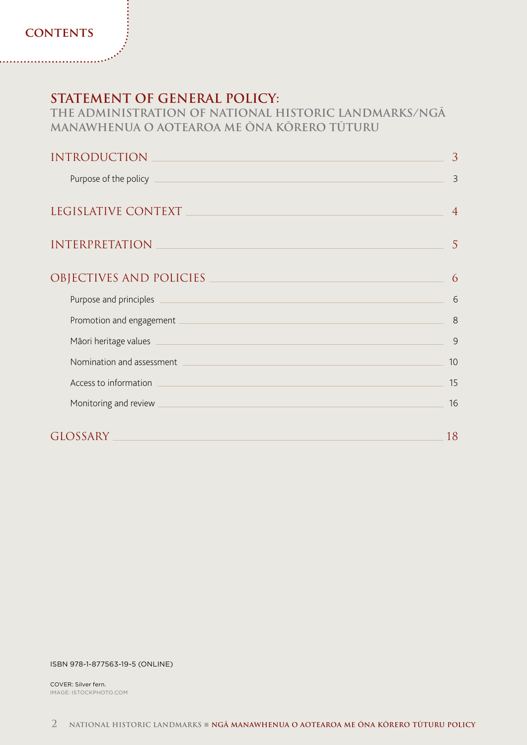### **CONTENTS**

## **STATEMENT OF GENERAL POLICY:**

**THE ADMINISTRATION OF NATIONAL HISTORIC LANDMARKS/NGĀ MANAWHENUA O AOTEAROA ME ŌNA KŌRERO TŪTURU**

| <b>INTRODUCTION</b>                                                                                                                                                                                                                  | 3              |
|--------------------------------------------------------------------------------------------------------------------------------------------------------------------------------------------------------------------------------------|----------------|
| Purpose of the policy                                                                                                                                                                                                                | 3              |
| LEGISLATIVE CONTEXT                                                                                                                                                                                                                  | $\overline{4}$ |
| <b>INTERPRETATION</b>                                                                                                                                                                                                                | 5              |
| OBJECTIVES AND POLICIES                                                                                                                                                                                                              | 6              |
| Purpose and principles<br><u> 1989 - Johann Barbara, martxa eta batarra (h. 1989).</u>                                                                                                                                               | 6              |
| Promotion and engagement <b>contract and a set of the set of the set of the set of the set of the set of the set of the set of the set of the set of the set of the set of the set of the set of the set of the set of the set o</b> | 8              |
| Māori heritage values<br><u> 1989 - An Dùbhlachd an Dùbhlachd ann an Dùbhlachd ann an Dùbhlachd ann an Dùbhlachd ann an Dùbhlachd ann an Dù</u>                                                                                      | 9              |
| Nomination and assessment<br><u> 1980 - Johann Barn, mars an t-Amerikaansk politiker (</u>                                                                                                                                           | 10             |
| <u> 1989 - Johann Barn, mars ann an t-Amhain Aonaichte ann an t-Aonaichte ann an t-Aonaichte ann an t-Aonaichte a</u><br>Access to information                                                                                       | 15             |
| Monitoring and review                                                                                                                                                                                                                | 16             |
| <b>GLOSSARY</b>                                                                                                                                                                                                                      | 18             |

#### ISBN 978-1-877563-19-5 (ONLINE)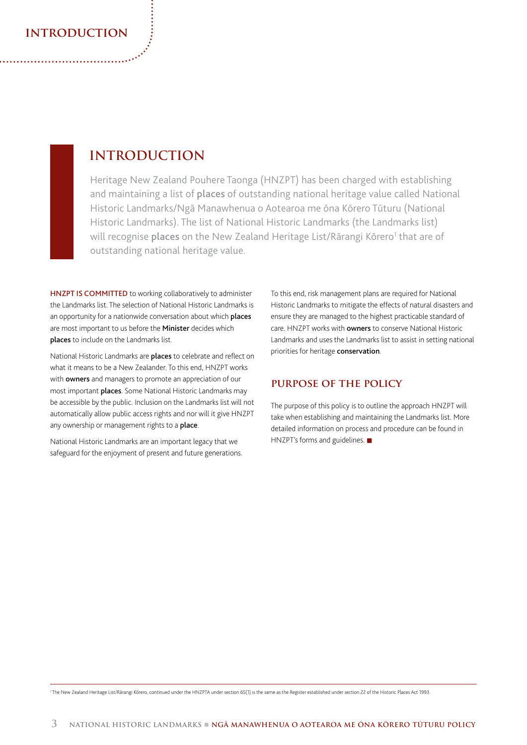### **introduction**

## **INTRODUCTION**

Heritage New Zealand Pouhere Taonga (HNZPT) has been charged with establishing and maintaining a list of places of outstanding national heritage value called National Historic Landmarks/Ngā Manawhenua o Aotearoa me ōna Kōrero Tūturu (National Historic Landmarks). The list of National Historic Landmarks (the Landmarks list) will recognise places on the New Zealand Heritage List/Rārangi Kōrero<sup>1</sup> that are of outstanding national heritage value.

HNZPT IS COMMITTED to working collaboratively to administer the Landmarks list. The selection of National Historic Landmarks is an opportunity for a nationwide conversation about which **places** are most important to us before the **Minister** decides which places to include on the Landmarks list.

National Historic Landmarks are places to celebrate and reflect on what it means to be a New Zealander. To this end, HNZPT works with **owners** and managers to promote an appreciation of our most important places. Some National Historic Landmarks may be accessible by the public. Inclusion on the Landmarks list will not automatically allow public access rights and nor will it give HNZPT any ownership or management rights to a place.

National Historic Landmarks are an important legacy that we safeguard for the enjoyment of present and future generations. To this end, risk management plans are required for National Historic Landmarks to mitigate the effects of natural disasters and ensure they are managed to the highest practicable standard of care. HNZPT works with owners to conserve National Historic Landmarks and uses the Landmarks list to assist in setting national priorities for heritage conservation.

### **purpose of the policy**

The purpose of this policy is to outline the approach HNZPT will take when establishing and maintaining the Landmarks list. More detailed information on process and procedure can be found in  $HNZPT's$  forms and guidelines.  $\blacksquare$ 

1 The New Zealand Heritage List/Rārangi Kōrero, continued under the HNZPTA under section 65(1) is the same as the Register established under section 22 of the Historic Places Act 1993.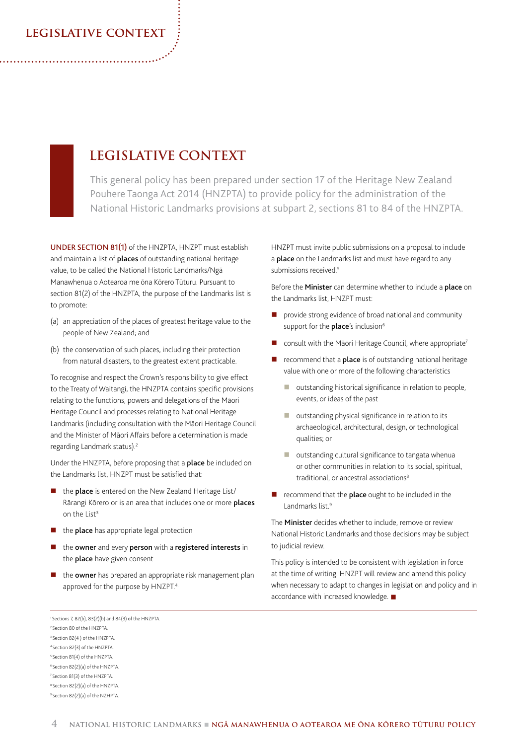### **legislative context**

## **LEGISLATIVE CONTEXT**

This general policy has been prepared under section 17 of the Heritage New Zealand Pouhere Taonga Act 2014 (HNZPTA) to provide policy for the administration of the National Historic Landmarks provisions at subpart 2, sections 81 to 84 of the HNZPTA.

UNDER SECTION 81(1) of the HNZPTA, HNZPT must establish and maintain a list of **places** of outstanding national heritage value, to be called the National Historic Landmarks/Ngā Manawhenua o Aotearoa me ōna Kōrero Tūturu. Pursuant to section 81(2) of the HNZPTA, the purpose of the Landmarks list is to promote:

- (a) an appreciation of the places of greatest heritage value to the people of New Zealand; and
- (b) the conservation of such places, including their protection from natural disasters, to the greatest extent practicable.

To recognise and respect the Crown's responsibility to give effect to the Treaty of Waitangi, the HNZPTA contains specific provisions relating to the functions, powers and delegations of the Māori Heritage Council and processes relating to National Heritage Landmarks (including consultation with the Māori Heritage Council and the Minister of Māori Affairs before a determination is made regarding Landmark status).<sup>2</sup>

Under the HNZPTA, before proposing that a place be included on the Landmarks list, HNZPT must be satisfied that:

- the **place** is entered on the New Zealand Heritage List/ Rārangi Kōrero or is an area that includes one or more places on the List<sup>3</sup>
- the place has appropriate legal protection
- the owner and every person with a registered interests in the **place** have given consent
- $\blacksquare$  the **owner** has prepared an appropriate risk management plan approved for the purpose by HNZPT.<sup>4.</sup>

HNZPT must invite public submissions on a proposal to include a **place** on the Landmarks list and must have regard to any submissions received.<sup>5</sup>

Before the **Minister** can determine whether to include a **place** on the Landmarks list, HNZPT must:

- provide strong evidence of broad national and community support for the **place**'s inclusion<sup>6</sup>
- consult with the Māori Heritage Council, where appropriate<sup>7</sup>
- recommend that a **place** is of outstanding national heritage value with one or more of the following characteristics
	- **u** outstanding historical significance in relation to people, events, or ideas of the past
	- **D** outstanding physical significance in relation to its archaeological, architectural, design, or technological qualities; or
	- **D** outstanding cultural significance to tangata whenua or other communities in relation to its social, spiritual, traditional, or ancestral associations<sup>8</sup>
- recommend that the place ought to be included in the Landmarks list.<sup>9</sup>

The Minister decides whether to include, remove or review National Historic Landmarks and those decisions may be subject to judicial review.

This policy is intended to be consistent with legislation in force at the time of writing. HNZPT will review and amend this policy when necessary to adapt to changes in legislation and policy and in accordance with increased knowledge.  $\blacksquare$ 

- 2 Section 80 of the HNZPTA.
- <sup>3</sup> Section 82(4) of the HNZPTA.
- 4 Section 82(3) of the HNZPTA. 5 Section 81(4) of the HNZPTA.
- 6 Section 82(2)(a) of the HNZPTA.
- 7 Section 81(3) of the HNZPTA.
- 8 Section 82(2)(a) of the HNZPTA.
- 9 Section 82(2)(a) of the NZHPTA.

<sup>1</sup> Sections 7, 82(b), 83(2)(b) and 84(3) of the HNZPTA.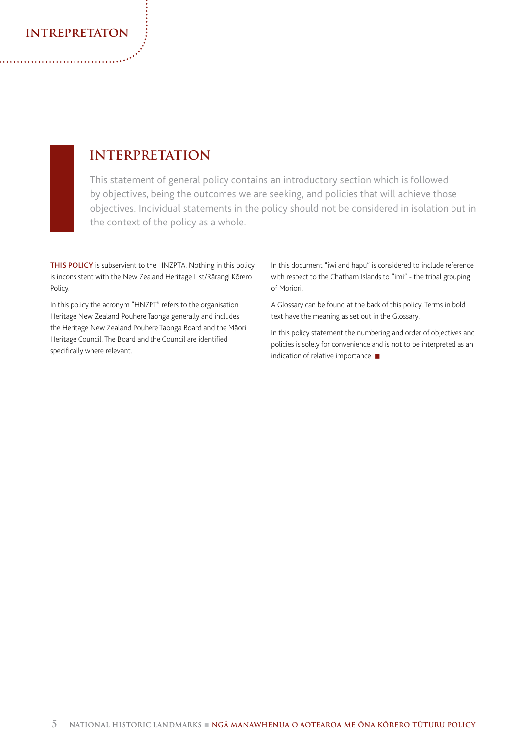### **intrepretaton**

## **INTERPRETATION**

This statement of general policy contains an introductory section which is followed by objectives, being the outcomes we are seeking, and policies that will achieve those objectives. Individual statements in the policy should not be considered in isolation but in the context of the policy as a whole.

THIS POLICY is subservient to the HNZPTA. Nothing in this policy is inconsistent with the New Zealand Heritage List/Rārangi Kōrero Policy.

In this policy the acronym "HNZPT" refers to the organisation Heritage New Zealand Pouhere Taonga generally and includes the Heritage New Zealand Pouhere Taonga Board and the Māori Heritage Council. The Board and the Council are identified specifically where relevant.

In this document "iwi and hapū" is considered to include reference with respect to the Chatham Islands to "imi" - the tribal grouping of Moriori.

A Glossary can be found at the back of this policy. Terms in bold text have the meaning as set out in the Glossary.

In this policy statement the numbering and order of objectives and policies is solely for convenience and is not to be interpreted as an indication of relative importance.  $\blacksquare$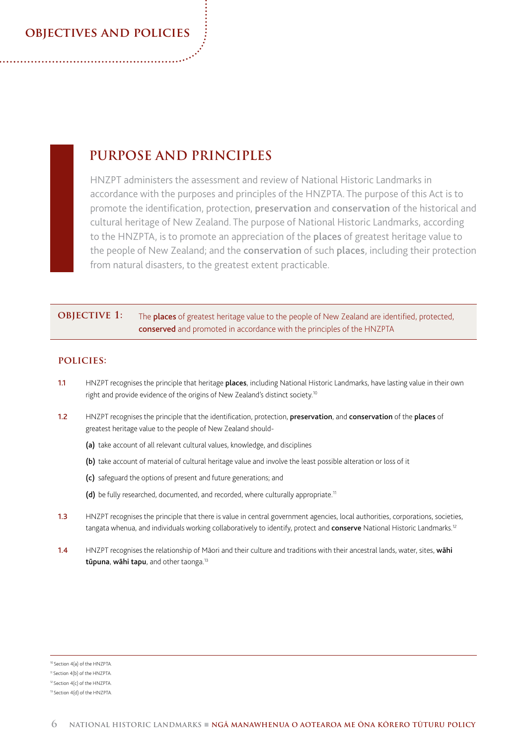### **objectives and policies**

## **PURPOSE AND PRINCIPLES**

HNZPT administers the assessment and review of National Historic Landmarks in accordance with the purposes and principles of the HNZPTA. The purpose of this Act is to promote the identification, protection, preservation and conservation of the historical and cultural heritage of New Zealand. The purpose of National Historic Landmarks, according to the HNZPTA, is to promote an appreciation of the places of greatest heritage value to the people of New Zealand; and the conservation of such places, including their protection from natural disasters, to the greatest extent practicable.

#### **OBJECTIVE 1:** The places of greatest heritage value to the people of New Zealand are identified, protected, conserved and promoted in accordance with the principles of the HNZPTA

#### **policies:**

- 1.1 HNZPT recognises the principle that heritage places, including National Historic Landmarks, have lasting value in their own right and provide evidence of the origins of New Zealand's distinct society.10
- 1.2 HNZPT recognises the principle that the identification, protection, preservation, and conservation of the places of greatest heritage value to the people of New Zealand should-
	- (a) take account of all relevant cultural values, knowledge, and disciplines
	- (b) take account of material of cultural heritage value and involve the least possible alteration or loss of it
	- (c) safeguard the options of present and future generations; and
	- (d) be fully researched, documented, and recorded, where culturally appropriate.<sup>11</sup>
- 1.3 HNZPT recognises the principle that there is value in central government agencies, local authorities, corporations, societies, tangata whenua, and individuals working collaboratively to identify, protect and conserve National Historic Landmarks.<sup>12</sup>
- 1.4 HNZPT recognises the relationship of Māori and their culture and traditions with their ancestral lands, water, sites, wahi tūpuna, wāhi tapu, and other taonga.<sup>13</sup>

10 Section 4(a) of the HNZPTA.

<sup>11</sup> Section 4(b) of the HNZPTA.

<sup>12</sup> Section 4(c) of the HNZPTA.

<sup>&</sup>lt;sup>13</sup> Section 4(d) of the HNZPTA.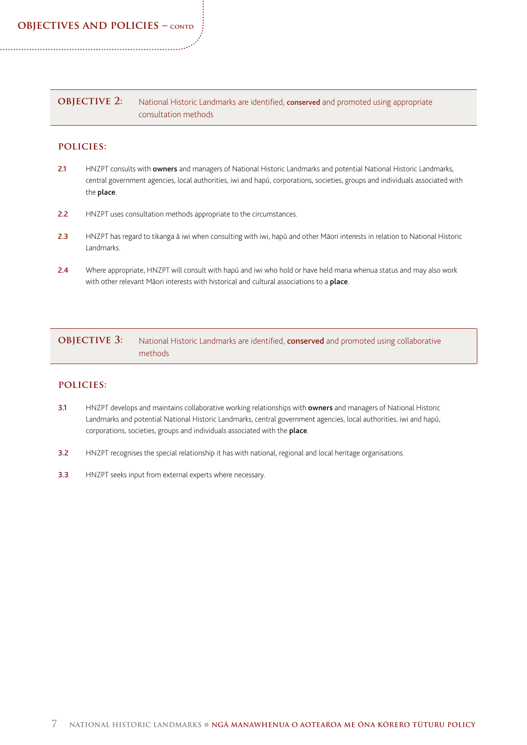**objectives and policies – contd**

#### **OBJECTIVE 2:** National Historic Landmarks are identified, conserved and promoted using appropriate consultation methods

#### **policies:**

- 2.1 HNZPT consults with owners and managers of National Historic Landmarks and potential National Historic Landmarks, central government agencies, local authorities, iwi and hapū, corporations, societies, groups and individuals associated with the place.
- 2.2 HNZPT uses consultation methods appropriate to the circumstances.
- 2.3 HNZPT has regard to tikanga ā iwi when consulting with iwi, hapū and other Māori interests in relation to National Historic Landmarks.
- 2.4 Where appropriate, HNZPT will consult with hapū and iwi who hold or have held mana whenua status and may also work with other relevant Māori interests with historical and cultural associations to a place.

### **OBJECTIVE 3:** National Historic Landmarks are identified, **conserved** and promoted using collaborative methods

#### **policies:**

- 3.1 HNZPT develops and maintains collaborative working relationships with owners and managers of National Historic Landmarks and potential National Historic Landmarks, central government agencies, local authorities, iwi and hapū, corporations, societies, groups and individuals associated with the place.
- 3.2 HNZPT recognises the special relationship it has with national, regional and local heritage organisations.
- 3.3 HNZPT seeks input from external experts where necessary.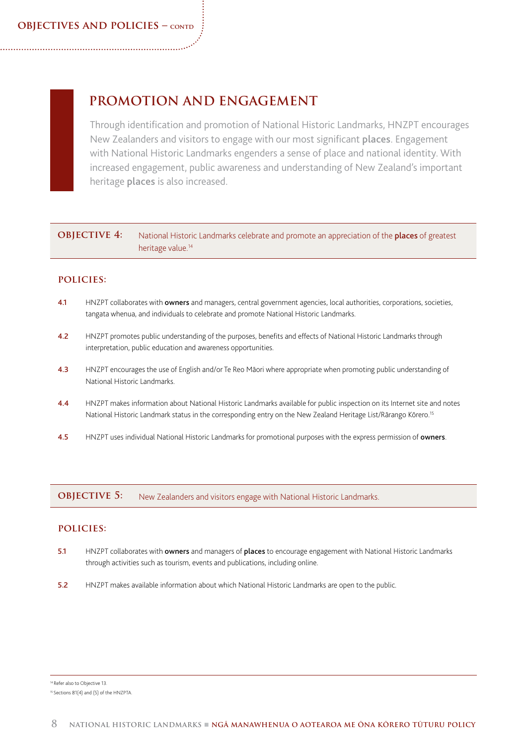## **PROMOTION AND ENGAGEMENT**

Through identification and promotion of National Historic Landmarks, HNZPT encourages New Zealanders and visitors to engage with our most significant places. Engagement with National Historic Landmarks engenders a sense of place and national identity. With increased engagement, public awareness and understanding of New Zealand's important heritage places is also increased.

### **OBJECTIVE 4:** National Historic Landmarks celebrate and promote an appreciation of the **places** of greatest heritage value.14

#### **policies:**

- 4.1 HNZPT collaborates with owners and managers, central government agencies, local authorities, corporations, societies, tangata whenua, and individuals to celebrate and promote National Historic Landmarks.
- 4.2 HNZPT promotes public understanding of the purposes, benefits and effects of National Historic Landmarks through interpretation, public education and awareness opportunities.
- 4.3 HNZPT encourages the use of English and/or Te Reo Māori where appropriate when promoting public understanding of National Historic Landmarks.
- 4.4 HNZPT makes information about National Historic Landmarks available for public inspection on its Internet site and notes National Historic Landmark status in the corresponding entry on the New Zealand Heritage List/Rārango Kōrero.<sup>15</sup>
- 4.5 HNZPT uses individual National Historic Landmarks for promotional purposes with the express permission of owners.

**OBJECTIVE 5:** New Zealanders and visitors engage with National Historic Landmarks.

#### **policies:**

- 5.1 HNZPT collaborates with owners and managers of places to encourage engagement with National Historic Landmarks through activities such as tourism, events and publications, including online.
- 5.2 HNZPT makes available information about which National Historic Landmarks are open to the public.

<sup>14</sup> Refer also to Objective 13.

<sup>&</sup>lt;sup>15</sup> Sections 81(4) and (5) of the HNZPTA.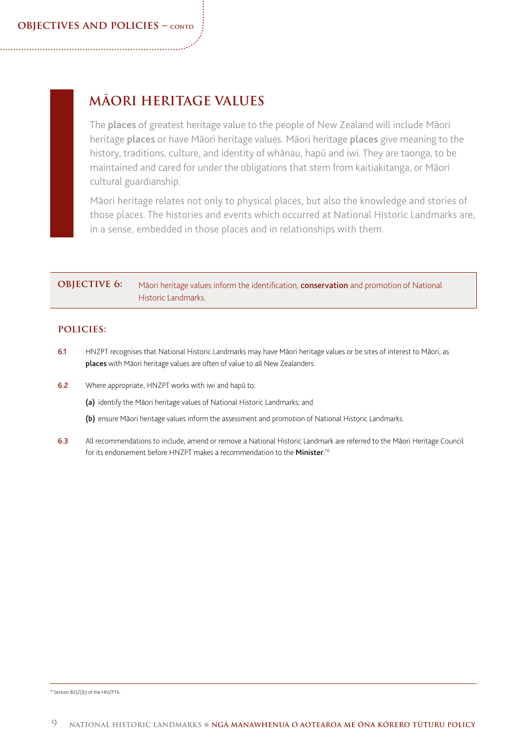## **MĀORI HERITAGE VALUES**

The places of greatest heritage value to the people of New Zealand will include Māori heritage places or have Māori heritage values. Māori heritage places give meaning to the history, traditions, culture, and identity of whānau, hapū and iwi. They are taonga, to be maintained and cared for under the obligations that stem from kaitiakitanga, or Māori cultural guardianship.

Māori heritage relates not only to physical places, but also the knowledge and stories of those places. The histories and events which occurred at National Historic Landmarks are, in a sense, embedded in those places and in relationships with them.

### **OBJECTIVE 6:** Māori heritage values inform the identification, **conservation** and promotion of National Historic Landmarks.

#### **policies:**

- 6.1 HNZPT recognises that National Historic Landmarks may have Māori heritage values or be sites of interest to Māori, as places with Māori heritage values are often of value to all New Zealanders.
- 6.2 Where appropriate, HNZPT works with iwi and hapū to:
	- (a) identify the Māori heritage values of National Historic Landmarks; and
	- (b) ensure Māori heritage values inform the assessment and promotion of National Historic Landmarks.
- 6.3 All recommendations to include, amend or remove a National Historic Landmark are referred to the Māori Heritage Council for its endorsement before HNZPT makes a recommendation to the Minister.<sup>16</sup>

16 Section 82(2)(b) of the HNZPTA.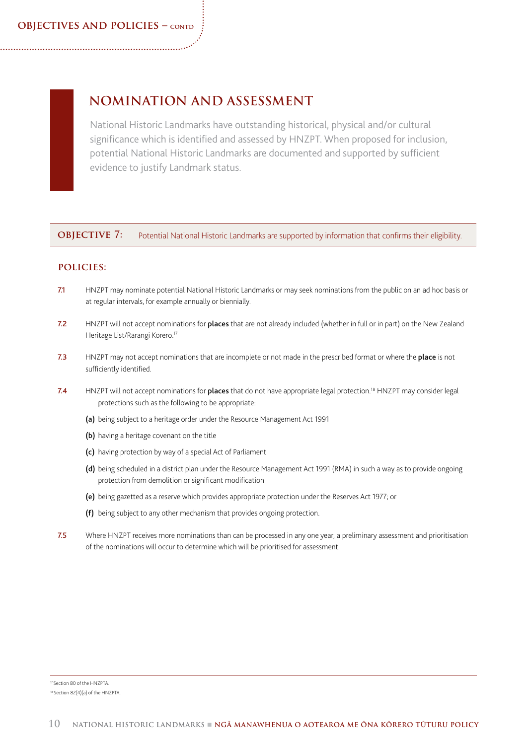## **NOMINATION AND ASSESSMENT**

National Historic Landmarks have outstanding historical, physical and/or cultural significance which is identified and assessed by HNZPT. When proposed for inclusion, potential National Historic Landmarks are documented and supported by sufficient evidence to justify Landmark status.

**OBJECTIVE 7:** Potential National Historic Landmarks are supported by information that confirms their eligibility.

#### **policies:**

- 7.1 HNZPT may nominate potential National Historic Landmarks or may seek nominations from the public on an ad hoc basis or at regular intervals, for example annually or biennially.
- 7.2 HNZPT will not accept nominations for places that are not already included (whether in full or in part) on the New Zealand Heritage List/Rārangi Kōrero.17
- 7.3 HNZPT may not accept nominations that are incomplete or not made in the prescribed format or where the place is not sufficiently identified.
- 7.4 HNZPT will not accept nominations for places that do not have appropriate legal protection.<sup>18</sup> HNZPT may consider legal protections such as the following to be appropriate:
	- (a) being subject to a heritage order under the Resource Management Act 1991
	- (b) having a heritage covenant on the title
	- (c) having protection by way of a special Act of Parliament
	- (d) being scheduled in a district plan under the Resource Management Act 1991 (RMA) in such a way as to provide ongoing protection from demolition or significant modification
	- (e) being gazetted as a reserve which provides appropriate protection under the Reserves Act 1977; or
	- (f) being subject to any other mechanism that provides ongoing protection.
- 7.5 Where HNZPT receives more nominations than can be processed in any one year, a preliminary assessment and prioritisation of the nominations will occur to determine which will be prioritised for assessment.

<sup>17</sup> Section 80 of the HNZPTA.

<sup>&</sup>lt;sup>18</sup> Section 82(4)(a) of the HNZPTA.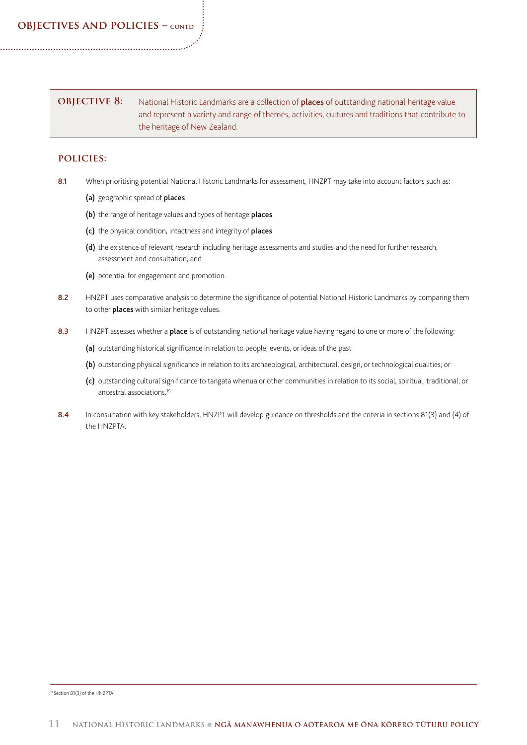### **OBJECTIVE 8:** National Historic Landmarks are a collection of **places** of outstanding national heritage value and represent a variety and range of themes, activities, cultures and traditions that contribute to the heritage of New Zealand.

#### **policies:**

- 8.1 When prioritising potential National Historic Landmarks for assessment, HNZPT may take into account factors such as:
	- (a) geographic spread of places
	- (b) the range of heritage values and types of heritage places
	- (c) the physical condition, intactness and integrity of places
	- (d) the existence of relevant research including heritage assessments and studies and the need for further research, assessment and consultation; and
	- (e) potential for engagement and promotion.
- 8.2 HNZPT uses comparative analysis to determine the significance of potential National Historic Landmarks by comparing them to other **places** with similar heritage values.
- 8.3 HNZPT assesses whether a place is of outstanding national heritage value having regard to one or more of the following:
	- (a) outstanding historical significance in relation to people, events, or ideas of the past
	- (b) outstanding physical significance in relation to its archaeological, architectural, design, or technological qualities; or
	- (c) outstanding cultural significance to tangata whenua or other communities in relation to its social, spiritual, traditional, or ancestral associations.19
- 8.4 In consultation with key stakeholders, HNZPT will develop guidance on thresholds and the criteria in sections 81(3) and (4) of the HNZPTA.

19 Section 81(3) of the HNZPTA.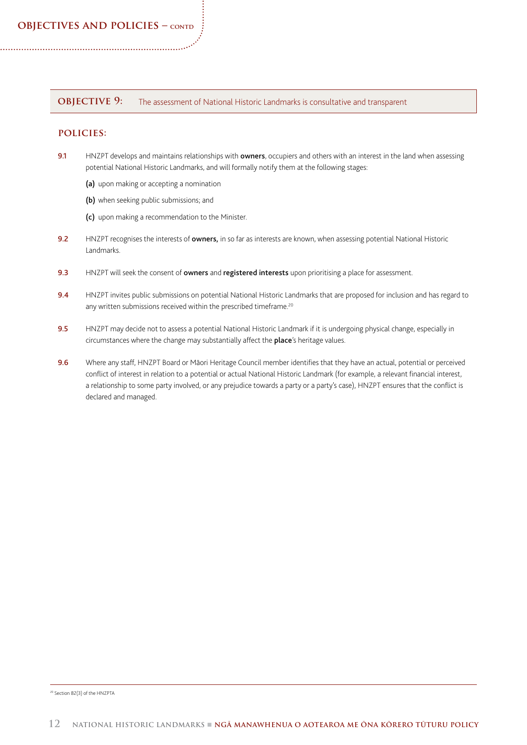#### **OBJECTIVE 9:** The assessment of National Historic Landmarks is consultative and transparent

#### **policies:**

- 9.1 HNZPT develops and maintains relationships with **owners**, occupiers and others with an interest in the land when assessing potential National Historic Landmarks, and will formally notify them at the following stages:
	- (a) upon making or accepting a nomination
	- (b) when seeking public submissions; and
	- (c) upon making a recommendation to the Minister.
- 9.2 HNZPT recognises the interests of owners, in so far as interests are known, when assessing potential National Historic Landmarks.
- 9.3 HNZPT will seek the consent of owners and registered interests upon prioritising a place for assessment.
- 9.4 HNZPT invites public submissions on potential National Historic Landmarks that are proposed for inclusion and has regard to any written submissions received within the prescribed timeframe.<sup>20</sup>
- 9.5 HNZPT may decide not to assess a potential National Historic Landmark if it is undergoing physical change, especially in circumstances where the change may substantially affect the place's heritage values.
- 9.6 Where any staff, HNZPT Board or Māori Heritage Council member identifies that they have an actual, potential or perceived conflict of interest in relation to a potential or actual National Historic Landmark (for example, a relevant financial interest, a relationship to some party involved, or any prejudice towards a party or a party's case), HNZPT ensures that the conflict is declared and managed.

20 Section 82(3) of the HNZPTA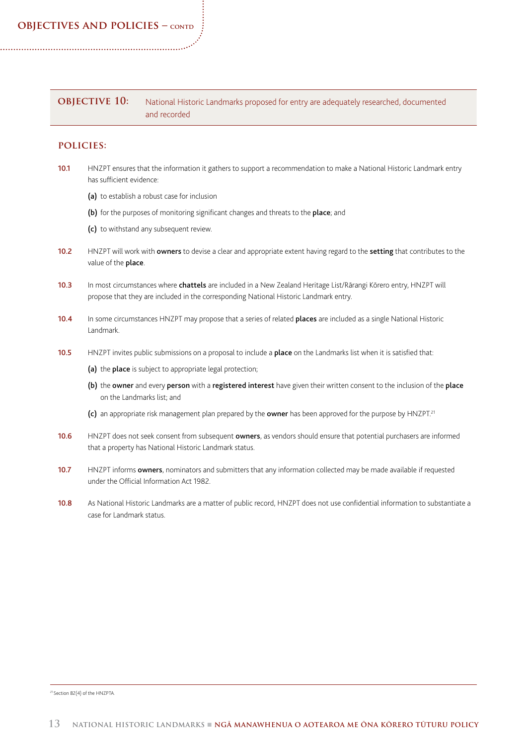#### **OBJECTIVE 10:** National Historic Landmarks proposed for entry are adequately researched, documented and recorded

#### **policies:**

- 10.1 HNZPT ensures that the information it gathers to support a recommendation to make a National Historic Landmark entry has sufficient evidence:
	- (a) to establish a robust case for inclusion
	- (b) for the purposes of monitoring significant changes and threats to the place; and
	- (c) to withstand any subsequent review.
- 10.2 HNZPT will work with owners to devise a clear and appropriate extent having regard to the setting that contributes to the value of the **place**.
- 10.3 In most circumstances where chattels are included in a New Zealand Heritage List/Rārangi Kōrero entry, HNZPT will propose that they are included in the corresponding National Historic Landmark entry.
- 10.4 In some circumstances HNZPT may propose that a series of related places are included as a single National Historic Landmark.
- 10.5 HNZPT invites public submissions on a proposal to include a place on the Landmarks list when it is satisfied that:
	- (a) the place is subject to appropriate legal protection;
	- (b) the owner and every person with a registered interest have given their written consent to the inclusion of the place on the Landmarks list; and
	- (c) an appropriate risk management plan prepared by the owner has been approved for the purpose by HNZPT.<sup>21</sup>
- 10.6 HNZPT does not seek consent from subsequent owners, as vendors should ensure that potential purchasers are informed that a property has National Historic Landmark status.
- 10.7 HNZPT informs owners, nominators and submitters that any information collected may be made available if requested under the Official Information Act 1982.
- 10.8 As National Historic Landmarks are a matter of public record, HNZPT does not use confidential information to substantiate a case for Landmark status.

21 Section 82(4) of the HNZPTA.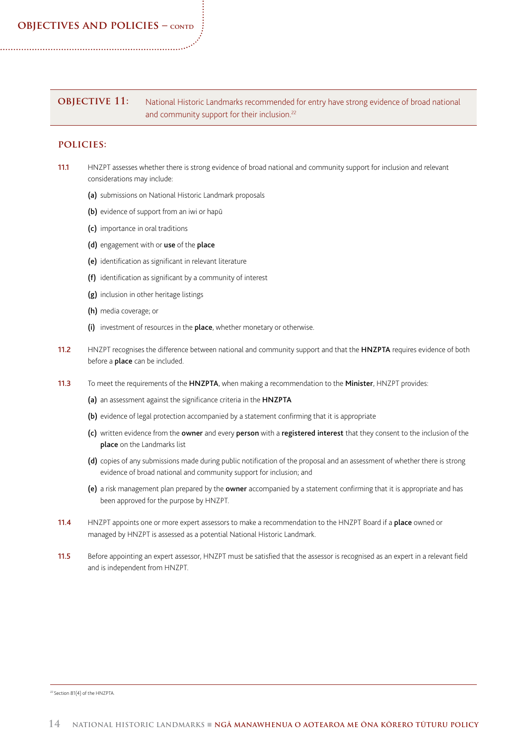**OBJECTIVE 11:** National Historic Landmarks recommended for entry have strong evidence of broad national and community support for their inclusion.<sup>22</sup>

#### **policies:**

- 11.1 HNZPT assesses whether there is strong evidence of broad national and community support for inclusion and relevant considerations may include:
	- (a) submissions on National Historic Landmark proposals
	- (b) evidence of support from an iwi or hapū
	- (c) importance in oral traditions
	- (d) engagement with or use of the place
	- (e) identification as significant in relevant literature
	- (f) identification as significant by a community of interest
	- (g) inclusion in other heritage listings
	- (h) media coverage; or
	- (i) investment of resources in the place, whether monetary or otherwise.
- 11.2 HNZPT recognises the difference between national and community support and that the HNZPTA requires evidence of both before a **place** can be included.
- 11.3 To meet the requirements of the HNZPTA, when making a recommendation to the Minister, HNZPT provides:
	- (a) an assessment against the significance criteria in the HNZPTA
	- (b) evidence of legal protection accompanied by a statement confirming that it is appropriate
	- (c) written evidence from the owner and every person with a registered interest that they consent to the inclusion of the place on the Landmarks list
	- (d) copies of any submissions made during public notification of the proposal and an assessment of whether there is strong evidence of broad national and community support for inclusion; and
	- (e) a risk management plan prepared by the owner accompanied by a statement confirming that it is appropriate and has been approved for the purpose by HNZPT.
- 11.4 HNZPT appoints one or more expert assessors to make a recommendation to the HNZPT Board if a place owned or managed by HNZPT is assessed as a potential National Historic Landmark.
- 11.5 Before appointing an expert assessor, HNZPT must be satisfied that the assessor is recognised as an expert in a relevant field and is independent from HNZPT.

22 Section 81(4) of the HNZPTA.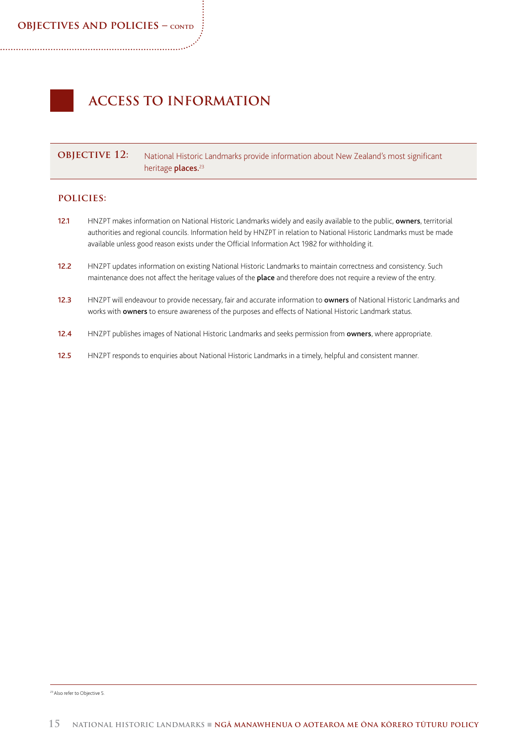# **ACCESS TO INFORMATION**

**OBJECTIVE 12:** National Historic Landmarks provide information about New Zealand's most significant heritage places.<sup>23</sup>

#### **policies:**

- 12.1 HNZPT makes information on National Historic Landmarks widely and easily available to the public, owners, territorial authorities and regional councils. Information held by HNZPT in relation to National Historic Landmarks must be made available unless good reason exists under the Official Information Act 1982 for withholding it.
- 12.2 HNZPT updates information on existing National Historic Landmarks to maintain correctness and consistency. Such maintenance does not affect the heritage values of the place and therefore does not require a review of the entry.
- 12.3 HNZPT will endeavour to provide necessary, fair and accurate information to owners of National Historic Landmarks and works with owners to ensure awareness of the purposes and effects of National Historic Landmark status.
- 12.4 HNZPT publishes images of National Historic Landmarks and seeks permission from owners, where appropriate.
- 12.5 HNZPT responds to enquiries about National Historic Landmarks in a timely, helpful and consistent manner.

23 Also refer to Objective 5.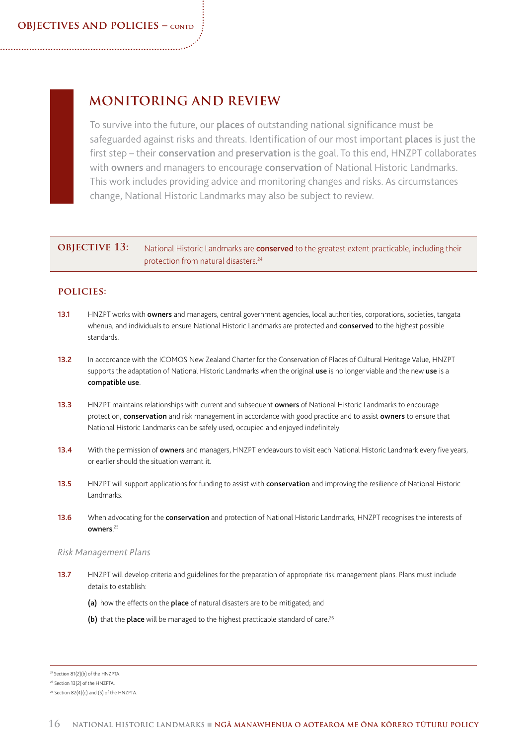## **MONITORING AND REVIEW**

To survive into the future, our places of outstanding national significance must be safeguarded against risks and threats. Identification of our most important places is just the first step – their conservation and preservation is the goal. To this end, HNZPT collaborates with owners and managers to encourage conservation of National Historic Landmarks. This work includes providing advice and monitoring changes and risks. As circumstances change, National Historic Landmarks may also be subject to review.

#### **OBJECTIVE 13:** National Historic Landmarks are **conserved** to the greatest extent practicable, including their protection from natural disasters.<sup>24</sup>

#### **policies:**

- 13.1 HNZPT works with owners and managers, central government agencies, local authorities, corporations, societies, tangata whenua, and individuals to ensure National Historic Landmarks are protected and conserved to the highest possible standards.
- 13.2 In accordance with the ICOMOS New Zealand Charter for the Conservation of Places of Cultural Heritage Value, HNZPT supports the adaptation of National Historic Landmarks when the original use is no longer viable and the new use is a compatible use.
- 13.3 HNZPT maintains relationships with current and subsequent owners of National Historic Landmarks to encourage protection, conservation and risk management in accordance with good practice and to assist owners to ensure that National Historic Landmarks can be safely used, occupied and enjoyed indefinitely.
- 13.4 With the permission of **owners** and managers, HNZPT endeavours to visit each National Historic Landmark every five years, or earlier should the situation warrant it.
- 13.5 HNZPT will support applications for funding to assist with conservation and improving the resilience of National Historic Landmarks.
- 13.6 When advocating for the conservation and protection of National Historic Landmarks, HNZPT recognises the interests of owners. 25

#### *Risk Management Plans*

- 13.7 HNZPT will develop criteria and guidelines for the preparation of appropriate risk management plans. Plans must include details to establish:
	- (a) how the effects on the place of natural disasters are to be mitigated; and
	- (b) that the place will be managed to the highest practicable standard of care.<sup>26</sup>

<sup>24</sup> Section 81(2)(b) of the HNZPTA.

<sup>25</sup> Section 13(2) of the HNZPTA.

<sup>&</sup>lt;sup>26</sup> Section 82(4)(c) and (5) of the HNZPTA.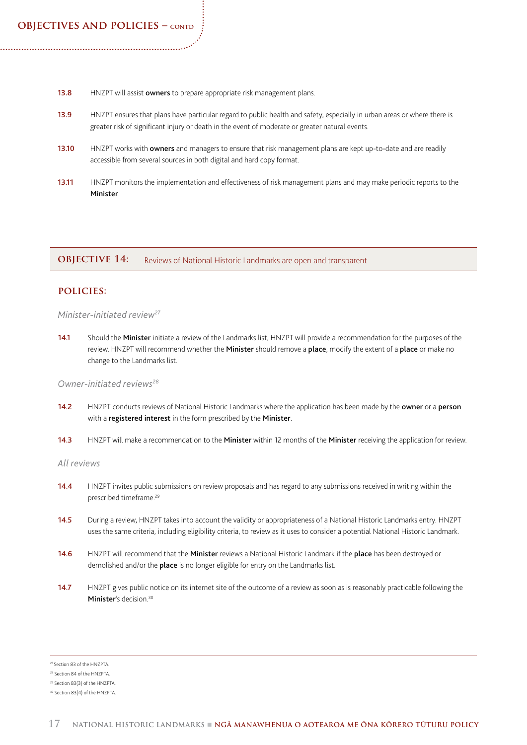- 13.8 HNZPT will assist owners to prepare appropriate risk management plans.
- 13.9 HNZPT ensures that plans have particular regard to public health and safety, especially in urban areas or where there is greater risk of significant injury or death in the event of moderate or greater natural events.
- 13.10 HNZPT works with owners and managers to ensure that risk management plans are kept up-to-date and are readily accessible from several sources in both digital and hard copy format.
- 13.11 HNZPT monitors the implementation and effectiveness of risk management plans and may make periodic reports to the **Minister**

**OBJECTIVE 14:** Reviews of National Historic Landmarks are open and transparent

#### **policies:**

#### *Minister-initiated review27*

14.1 Should the Minister initiate a review of the Landmarks list, HNZPT will provide a recommendation for the purposes of the review. HNZPT will recommend whether the Minister should remove a place, modify the extent of a place or make no change to the Landmarks list.

#### *Owner-initiated reviews28*

- 14.2 HNZPT conducts reviews of National Historic Landmarks where the application has been made by the owner or a person with a registered interest in the form prescribed by the Minister.
- 14.3 HNZPT will make a recommendation to the Minister within 12 months of the Minister receiving the application for review.

#### *All reviews*

- 14.4 HNZPT invites public submissions on review proposals and has regard to any submissions received in writing within the prescribed timeframe.29
- 14.5 During a review, HNZPT takes into account the validity or appropriateness of a National Historic Landmarks entry. HNZPT uses the same criteria, including eligibility criteria, to review as it uses to consider a potential National Historic Landmark.
- 14.6 HNZPT will recommend that the Minister reviews a National Historic Landmark if the place has been destroyed or demolished and/or the place is no longer eligible for entry on the Landmarks list.
- 14.7 HNZPT gives public notice on its internet site of the outcome of a review as soon as is reasonably practicable following the Minister's decision.<sup>30</sup>
- 27 Section 83 of the HNZPTA.

<sup>28</sup> Section 84 of the HNZPTA.

<sup>29</sup> Section 83(3) of the HNZPTA.

<sup>30</sup> Section 83(4) of the HNZPTA.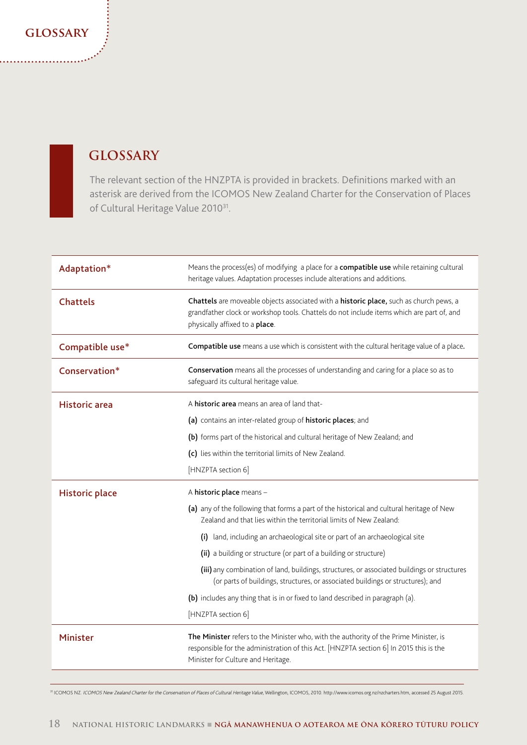### **glossary**

## **GLOSSARY**

The relevant section of the HNZPTA is provided in brackets. Definitions marked with an asterisk are derived from the ICOMOS New Zealand Charter for the Conservation of Places of Cultural Heritage Value 2010<sup>31</sup>.

| Adaptation*           | Means the process(es) of modifying a place for a compatible use while retaining cultural<br>heritage values. Adaptation processes include alterations and additions.                                                  |
|-----------------------|-----------------------------------------------------------------------------------------------------------------------------------------------------------------------------------------------------------------------|
| <b>Chattels</b>       | Chattels are moveable objects associated with a historic place, such as church pews, a<br>grandfather clock or workshop tools. Chattels do not include items which are part of, and<br>physically affixed to a place. |
| Compatible use*       | Compatible use means a use which is consistent with the cultural heritage value of a place.                                                                                                                           |
| Conservation*         | Conservation means all the processes of understanding and caring for a place so as to<br>safeguard its cultural heritage value.                                                                                       |
| <b>Historic</b> area  | A <b>historic area</b> means an area of land that-                                                                                                                                                                    |
|                       | (a) contains an inter-related group of historic places; and                                                                                                                                                           |
|                       | (b) forms part of the historical and cultural heritage of New Zealand; and                                                                                                                                            |
|                       | (c) lies within the territorial limits of New Zealand.                                                                                                                                                                |
|                       | [HNZPTA section 6]                                                                                                                                                                                                    |
| <b>Historic place</b> | A historic place means -                                                                                                                                                                                              |
|                       | (a) any of the following that forms a part of the historical and cultural heritage of New<br>Zealand and that lies within the territorial limits of New Zealand:                                                      |
|                       | (i) land, including an archaeological site or part of an archaeological site                                                                                                                                          |
|                       | (ii) a building or structure (or part of a building or structure)                                                                                                                                                     |
|                       | (iii) any combination of land, buildings, structures, or associated buildings or structures<br>(or parts of buildings, structures, or associated buildings or structures); and                                        |
|                       | (b) includes any thing that is in or fixed to land described in paragraph (a).                                                                                                                                        |
|                       | [HNZPTA section 6]                                                                                                                                                                                                    |
| <b>Minister</b>       | The Minister refers to the Minister who, with the authority of the Prime Minister, is<br>responsible for the administration of this Act. [HNZPTA section 6] In 2015 this is the<br>Minister for Culture and Heritage. |

31 ICOMOS NZ. ICOMOS New Zealand Charter for the Conservation of Places of Cultural Heritage Value, Wellington, ICOMOS, 2010. http://www.icomos.org.nz/nzcharters.htm, accessed 25 August 2015.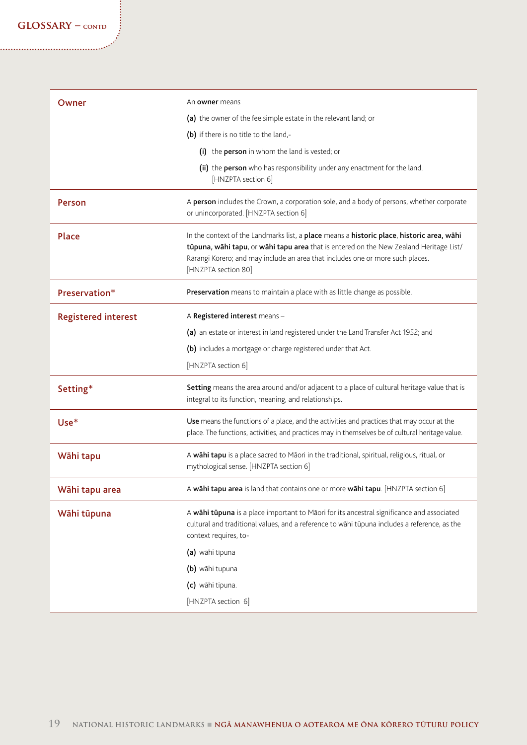| Owner                      | An <b>owner</b> means                                                                                                                                                                                                                                                                        |
|----------------------------|----------------------------------------------------------------------------------------------------------------------------------------------------------------------------------------------------------------------------------------------------------------------------------------------|
|                            | (a) the owner of the fee simple estate in the relevant land; or                                                                                                                                                                                                                              |
|                            | (b) if there is no title to the land,-                                                                                                                                                                                                                                                       |
|                            | (i) the person in whom the land is vested; or                                                                                                                                                                                                                                                |
|                            | (ii) the person who has responsibility under any enactment for the land.<br>[HNZPTA section 6]                                                                                                                                                                                               |
| Person                     | A person includes the Crown, a corporation sole, and a body of persons, whether corporate<br>or unincorporated. [HNZPTA section 6]                                                                                                                                                           |
| Place                      | In the context of the Landmarks list, a place means a historic place, historic area, wahi<br>tūpuna, wāhi tapu, or wāhi tapu area that is entered on the New Zealand Heritage List/<br>Rārangi Kōrero; and may include an area that includes one or more such places.<br>[HNZPTA section 80] |
| Preservation*              | Preservation means to maintain a place with as little change as possible.                                                                                                                                                                                                                    |
| <b>Registered interest</b> | A Registered interest means -                                                                                                                                                                                                                                                                |
|                            | (a) an estate or interest in land registered under the Land Transfer Act 1952; and                                                                                                                                                                                                           |
|                            | (b) includes a mortgage or charge registered under that Act.                                                                                                                                                                                                                                 |
|                            | [HNZPTA section 6]                                                                                                                                                                                                                                                                           |
| Setting*                   | Setting means the area around and/or adjacent to a place of cultural heritage value that is<br>integral to its function, meaning, and relationships.                                                                                                                                         |
| $Use*$                     | Use means the functions of a place, and the activities and practices that may occur at the<br>place. The functions, activities, and practices may in themselves be of cultural heritage value.                                                                                               |
| Wāhi tapu                  | A wāhi tapu is a place sacred to Māori in the traditional, spiritual, religious, ritual, or<br>mythological sense. [HNZPTA section 6]                                                                                                                                                        |
| Wāhi tapu area             | A wāhi tapu area is land that contains one or more wāhi tapu. [HNZPTA section 6]                                                                                                                                                                                                             |
| Wāhi tūpuna                | A wahi tupuna is a place important to Māori for its ancestral significance and associated<br>cultural and traditional values, and a reference to wāhi tūpuna includes a reference, as the<br>context requires, to-                                                                           |
|                            | (a) wāhi tīpuna                                                                                                                                                                                                                                                                              |
|                            | (b) wāhi tupuna                                                                                                                                                                                                                                                                              |
|                            | (c) wāhi tipuna.                                                                                                                                                                                                                                                                             |
|                            | [HNZPTA section 6]                                                                                                                                                                                                                                                                           |